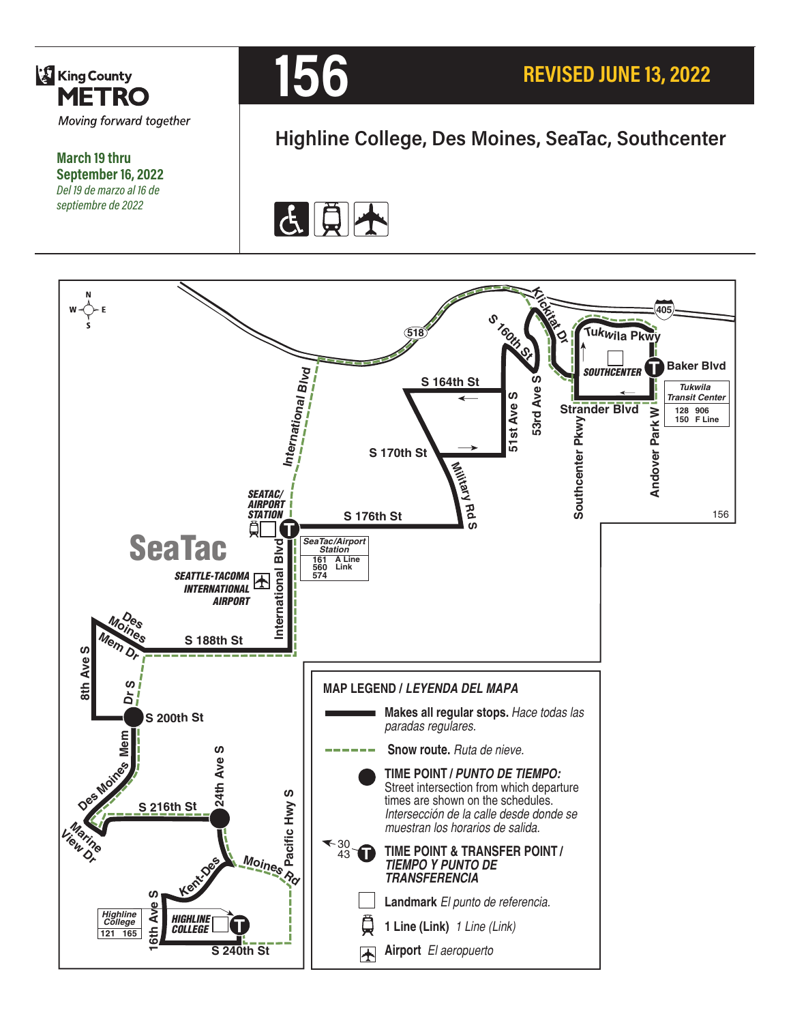

**March 19 thru September 16, 2022** *Del 19 de marzo al 16 de septiembre de 2022*



# **Highline College, Des Moines, SeaTac, Southcenter**



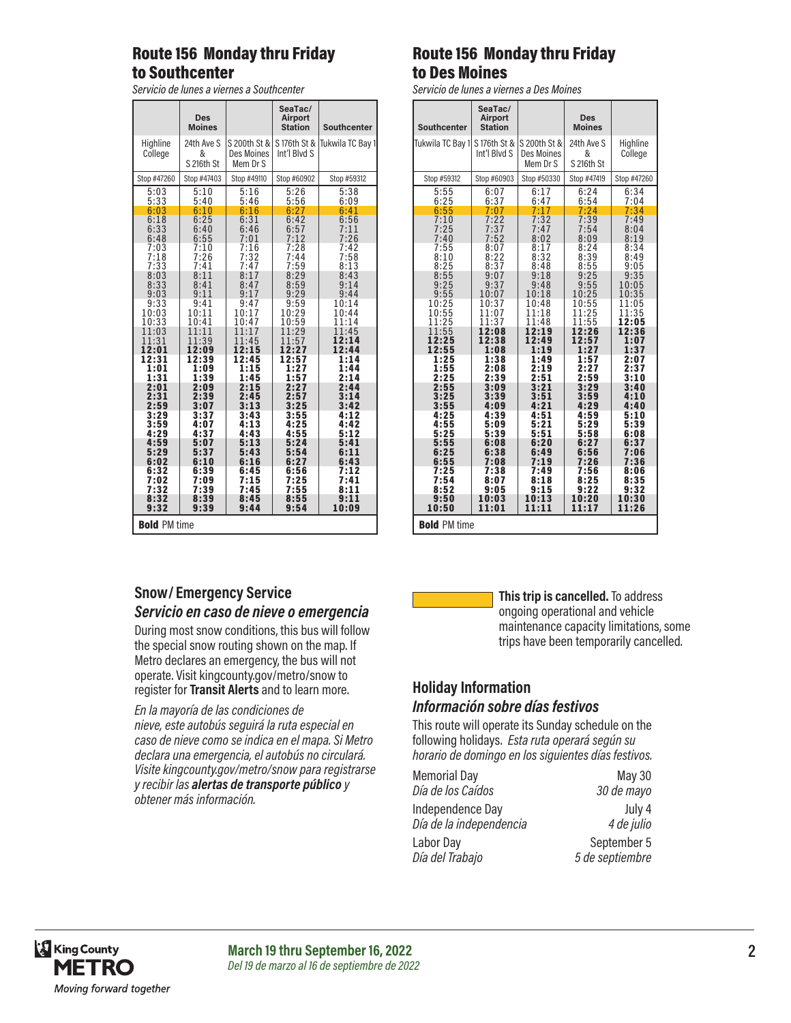## Route 156 Monday thru Friday to Southcenter

*Servicio de lunes a viernes a Southcenter*

|                     | <b>Des</b><br><b>Moines</b>   |                                        | SeaTac/<br><b>Airport</b><br><b>Station</b> | Southcenter      |
|---------------------|-------------------------------|----------------------------------------|---------------------------------------------|------------------|
| Highline<br>College | 24th Ave S<br>&<br>S 216th St | S 200th St &<br>Des Moines<br>Mem Dr S | S 176th St &<br>Int'l Blvd S                | Tukwila TC Bay 1 |
| Stop #47260         | Stop #47403                   | Stop #49110                            | Stop #60902                                 | Stop #59312      |
| 5:03                | 5:10                          | 5:16                                   | 5:26                                        | 5:38             |
| 5:33                | 5:40                          | 5:46                                   | 5:56                                        | 6:09             |
| 6:03                | 6:10                          | 6:16                                   | 6:27                                        | 6:41             |
| 6:18                | 6:25                          | 6:31                                   | 6:42                                        | 6:56             |
| 6:33                | 6:40                          | 6:46                                   | 6:57                                        | 7:11             |
| 6:48                | 6:55                          | 7:01                                   | 7:12                                        | 7:26             |
| 7:03                | 7:10                          | 7:16                                   | 7:28                                        | 7:42             |
| 7:18                | 7:26                          | 7:32                                   | 7:44                                        | 7:58             |
| 7:33                | 7:41                          | 7:47                                   | 7:59                                        | 8:13             |
| 8:03                | 8:11                          | 8:17                                   | 8:29                                        | 8:43             |
| 8:33                | 8:41                          | 8:47                                   | 8:59                                        | 9:14             |
| 9:03                | 9:11                          | 9:17                                   | 9:29                                        | 9:44             |
| 9:33                | 9:41                          | 9:47                                   | 9:59                                        | 10:14            |
| 10:03               | 10:11                         | 10:17                                  | 10:29                                       | 10:44            |
| 10:33               | 10:41                         | 10:47                                  | 10:59                                       | 11:14            |
| 11:03               | 11:11                         | 11:17                                  | 11:29                                       | 11:45            |
| 11:31               | 11:39                         | 11:45                                  | 11:57                                       | 12:14            |
| 12:01               | 12:09                         | 12:15                                  | 12:27                                       | 12:44            |
| 12:31               | 12:39                         | 12:45                                  | 12:57                                       | 1:14             |
| 1:01                | 1:09                          | 1:15                                   | 1:27                                        | 1:44             |
| 1:31                | 1:39                          | 1:45                                   | 1:57                                        | 2:14             |
| 2:01                | 2:09                          | 2:15                                   | 2:27                                        | 2:44             |
| 2:31                | 2:39                          | 2:45                                   | 2:57                                        | 3:14             |
| 2:59                | 3:07                          | 3:13                                   | 3:25                                        | 3:42             |
| 3:29                | 3:37                          | 3:43                                   | 3:55                                        | 4:12             |
| 3:59                | 4:07                          | 4:13                                   | 4:25                                        | 4:42             |
| 4:29                | 4:37                          | 4:43                                   | 4:55                                        | 5:12             |
| 4:59                | 5:07                          | 5:13                                   | 5:24                                        | 5:41             |
| 5:29                | 5:37                          | 5:43                                   | 5:54                                        | 6:11             |
| 6:02                | 6:10                          | 6:16                                   | 6:27                                        | 6:43             |
| 6:32                | 6:39                          | 6:45                                   | 6:56                                        | 7:12             |
| 7:02                | 7:09                          | 7:15                                   | 7:25                                        | 7:41             |
| 7:32                | 7:39                          | 7:45                                   | 7:55                                        | 8:11             |
| 8:32                | 8:39                          | 8:45                                   | 8:55                                        | 9:11             |
| 9:32                | 9:39                          | 9:44                                   | 9:54                                        | 10:09            |
| <b>Bold PM time</b> |                               |                                        |                                             |                  |

## Route 156 Monday thru Friday to Des Moines

*Servicio de lunes a viernes a Des Moines*

| <b>Southcenter</b>  | SeaTac/<br><b>Airport</b><br><b>Station</b> |                                               | <b>Des</b><br><b>Moines</b>   |                     |
|---------------------|---------------------------------------------|-----------------------------------------------|-------------------------------|---------------------|
| Tukwila TC Bay 1    | S 176th St &<br>Int'l Blvd S                | S 200th St &<br><b>Des Moines</b><br>Mem Dr S | 24th Ave S<br>&<br>S 216th St | Highline<br>College |
| Stop #59312         | Stop #60903                                 | Stop #50330                                   | Stop #47419                   | Stop #47260         |
| 5:55                | 6:07                                        | 6:17                                          | 6:24                          | 6:34                |
| 6:25                | 6:37                                        | 6:47                                          | 6:54                          | 7:04                |
| 6:55                | 7:07                                        | 7:17                                          | 7:24                          | 7:34                |
| 7:10                | 7:22                                        | 7:32                                          | 7:39                          | 7:49                |
| 7:25                | 7:37                                        | 7:47                                          | 7:54                          | 8:04                |
| 7:40                | 7:52                                        | 8:02                                          | 8:09                          | 8:19                |
| 7:55                | 8:07                                        | 8:17                                          | 8:24                          | 8:34                |
| 8:10                | 8:22                                        | 8:32                                          | 8:39                          | 8:49                |
| 8:25                | 8:37                                        | 8:48                                          | 8:55                          | 9:05                |
| 8:55                | 9:07                                        | 9:18                                          | 9:25                          | 9:35                |
| 9:25                | 9:37                                        | 9:48                                          | 9:55                          | 10:05               |
| 9:55                | 10:07                                       | 10:18                                         | 10:25                         | 10:35               |
| 10:25               | 10:37                                       | 10:48                                         | 10:55                         | 11:05               |
| 10:55               | 11:07                                       | 11:18                                         | 11:25                         | 11:35               |
| 11:25               | 11:37                                       | 11:48                                         | 11:55                         | 12:05               |
| 11:55               | 12:08                                       | 12:19                                         | 12:26                         | 12:36               |
| 12:25               | 12:38                                       | 12:49                                         | 12:57                         | 1:07                |
| 12:55               | 1:08                                        | 1:19                                          | 1:27                          | 1:37                |
| 1:25                | 1:38                                        | 1:49                                          | 1:57                          | 2:07                |
| 1:55                | 2:08                                        | 2:19                                          | 2:27                          | 2:37                |
| 2:25                | 2:39                                        | 2:51                                          | 2:59                          | 3:10                |
| 2:55                | 3:09                                        | 3:21                                          | 3:29                          | 3:40                |
| 3:25                | 3:39                                        | 3:51                                          | 3:59                          | 4:10                |
| 3:55                | 4:09                                        | 4:21                                          | 4:29                          | 4:40                |
| 4:25                | 4:39                                        | 4:51                                          | 4:59                          | 5:10                |
| 4:55                | 5:09                                        | 5:21                                          | 5:29                          | 5:39                |
| 5:25                | 5:39                                        | 5:51                                          | 5:58                          | 6:08                |
| 5:55                | 6:08                                        | 6:20                                          | 6:27                          | 6:37                |
| 6:25                | 6:38                                        | 6:49                                          | 6:56                          | 7:06                |
| 6:55                | 7:08                                        | 7:19                                          | 7:26                          | 7:36                |
| 7:25                | 7:38                                        | 7:49                                          | 7:56                          | 8:06                |
| 7:54                | 8:07                                        | 8:18                                          | 8:25                          | 8:35                |
| 8:52                | 9:05                                        | 9:15                                          | 9:22                          | 9:32                |
| 9:50                | 10:03                                       | 10:13                                         | 10:20                         | 10:30               |
| 10:50               | 11:01                                       | 11:11                                         | 11:17                         | 11:26               |
| <b>Bold PM time</b> |                                             |                                               |                               |                     |

#### **Snow/ Emergency Service**  *Servicio en caso de nieve o emergencia*

During most snow conditions, this bus will follow the special snow routing shown on the map. If Metro declares an emergency, the bus will not operate. Visit kingcounty.gov/metro/snow to register for **Transit Alerts** and to learn more.

*En la mayoría de las condiciones de nieve, este autobús seguirá la ruta especial en caso de nieve como se indica en el mapa. Si Metro declara una emergencia, el autobús no circulará. Visite kingcounty.gov/metro/snow para registrarse y recibir las alertas de transporte público y obtener más información.*



**This trip is cancelled.** To address ongoing operational and vehicle maintenance capacity limitations, some trips have been temporarily cancelled.

## **Holiday Information**

#### *Información sobre días festivos*

This route will operate its Sunday schedule on the following holidays. *Esta ruta operará según su horario de domingo en los siguientes días festivos.*

| <b>Memorial Day</b>     | <b>May 30</b>   |
|-------------------------|-----------------|
| Día de los Caídos       | 30 de mayo      |
| Independence Day        | July 4          |
| Día de la independencia | 4 de julio      |
| Labor Day               | September 5     |
| Día del Trabajo         | 5 de septiembre |